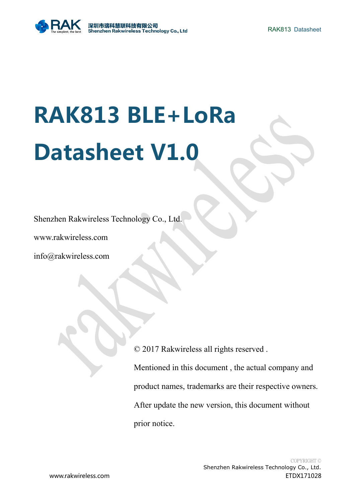# **RAK813 BLE+LoRa Datasheet V1.0**

Shenzhen Rakwireless Technology Co., Ltd.

www.rakwireless.com

info@rakwireless.com

© 2017 Rakwireless all rights reserved .

Mentioned in this document, the actual company and product names, trademarks are their respective owners. After update the new version, this document without prior notice.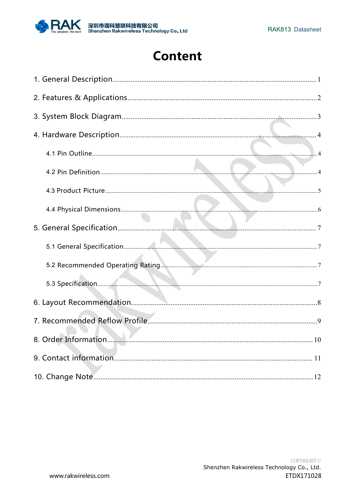

# **Content**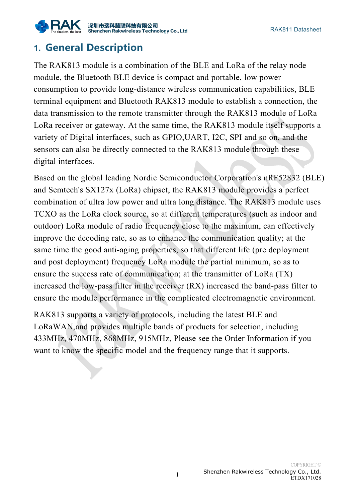

# <span id="page-2-0"></span>**1. General Description**

The RAK813 module is a combination of the BLE and LoRa of the relay node module, the Bluetooth BLE device is compact and portable, low power consumption to provide long-distance wireless communication capabilities, BLE terminal equipment and Bluetooth RAK813 module to establish a connection, the data transmission to the remote transmitter through the RAK813 module of LoRa LoRa receiver or gateway. At the same time, the RAK813 module itself supports a variety of Digital interfaces, such as GPIO,UART, I2C, SPI and so on, and the sensors can also be directly connected to the RAK813 module through these digital interfaces.

Based on the global leading Nordic Semiconductor Corporation's nRF52832 (BLE) and Semtech's SX127x (LoRa) chipset, the RAK813 module provides a perfect combination of ultra low power and ultra long distance. The RAK813 module uses TCXO as the LoRa clock source, so at different temperatures (such as indoor and outdoor) LoRa module of radio frequency close to the maximum, can effectively improve the decoding rate, so as to enhance the communication quality; at the same time the good anti-aging properties, so that different life (pre deployment and post deployment) frequency LoRa module the partial minimum, so as to ensure the success rate of communication; at the transmitter of LoRa (TX) increased the low-pass filter in the receiver (RX) increased the band-pass filter to ensure the module performance in the complicated electromagnetic environment.

RAK813 supports a variety of protocols, including the latest BLE and LoRaWAN,and provides multiple bands of products for selection, including 433MHz, 470MHz, 868MHz, 915MHz, Please see the Order Information if you want to know the specific model and the frequency range that it supports.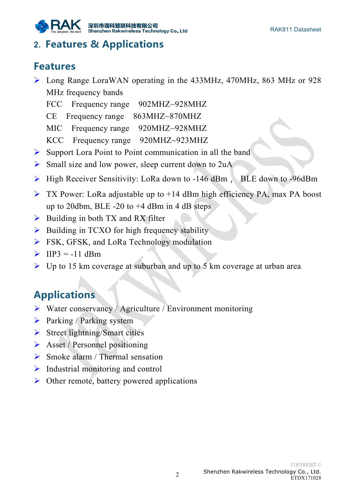

## <span id="page-3-0"></span>**2. Features & Applications**

## **Features**

- $\triangleright$  Long Range LoraWAN operating in the 433MHz, 470MHz, 863 MHz or 928 MHz frequency bands
	- FCC Frequency range 902MHZ~928MHZ
	- CE Frequency range 863MHZ~870MHZ
	- MIC Frequency range 920MHZ~928MHZ
	- KCC Frequency range 920MHZ~923MHZ
- $\triangleright$  Support Lora Point to Point communication in all the band
- $\triangleright$  Small size and low power, sleep current down to 2uA
- $\triangleright$  High Receiver Sensitivity: LoRa down to -146 dBm, BLE down to -96dBm
- $\triangleright$  TX Power: LoRa adjustable up to +14 dBm high efficiency PA, max PA boost up to 20dbm, BLE  $-20$  to  $+4$  dBm in 4 dB steps
- $\triangleright$  Building in both TX and RX filter
- $\triangleright$  Building in TCXO for high frequency stability
- **FSK, GFSK, and LoRa Technology modulation**
- $\triangleright$  IIP3 = -11 dBm
- ▶ Up to 15 km coverage at suburban and up to 5 km coverage at urban area

# **Applications**

- $\triangleright$  Water conservancy / Agriculture / Environment monitoring
- $\triangleright$  Parking / Parking system
- $\triangleright$  Street lightning/Smart cities
- $\triangleright$  Asset / Personnel positioning
- $\triangleright$  Smoke alarm / Thermal sensation
- $\triangleright$  Industrial monitoring and control
- $\triangleright$  Other remote, battery powered applications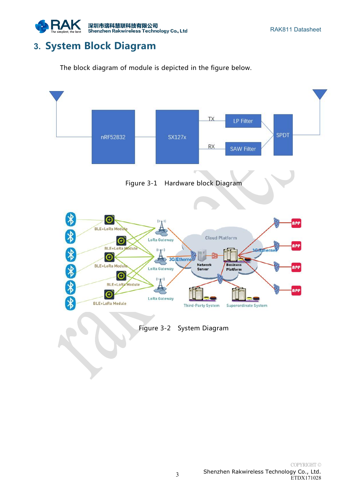

## <span id="page-4-0"></span>**3. System Block Diagram**

The block diagram of module is depicted in the figure below.







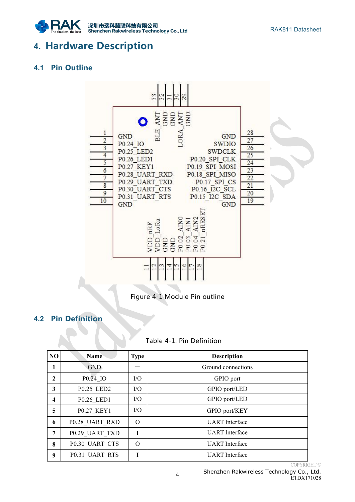

## <span id="page-5-1"></span><span id="page-5-0"></span>**4. Hardware Description**

#### **4.1 Pin Outline**



Figure 4-1 Module Pin outline

#### **4.2 Pin Definition**

#### Table 4-1: Pin Definition

| NO                      | Name           | <b>Type</b> | <b>Description</b>    |
|-------------------------|----------------|-------------|-----------------------|
| 1                       | <b>GND</b>     |             | Ground connections    |
| $\mathbf{2}$            | P0.24 IO       | $\rm LO$    | GPIO port             |
| 3                       | P0.25_LED2     | I/O         | GPIO port/LED         |
| $\overline{\mathbf{4}}$ | P0.26 LED1     | I/O         | GPIO port/LED         |
| 5                       | P0.27 KEY1     | I/O         | GPIO port/KEY         |
| 6                       | P0.28 UART RXD | $\Omega$    | <b>UART</b> Interface |
| $\overline{7}$          | P0.29 UART TXD |             | <b>UART</b> Interface |
| 8                       | P0.30 UART CTS | $\Omega$    | <b>UART</b> Interface |
| 9                       | P0.31 UART RTS |             | <b>UART</b> Interface |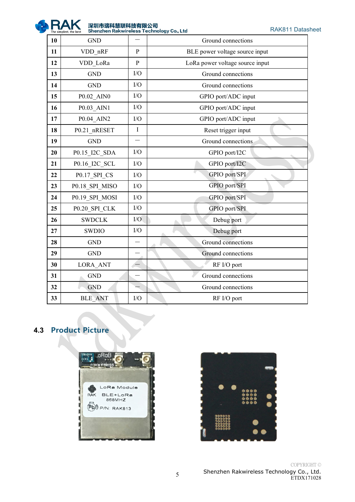

深<mark>圳市瑞科慧联科技有限公司</mark><br>Shenzhen Rakwireless Technology Co., Ltd

RAK811 Datasheet

<span id="page-6-0"></span>

| 10 | <b>GND</b>     |                          | Ground connections              |
|----|----------------|--------------------------|---------------------------------|
| 11 | VDD nRF        | $\mathbf{P}$             | BLE power voltage source input  |
| 12 | VDD LoRa       | $\mathbf{P}$             | LoRa power voltage source input |
| 13 | <b>GND</b>     | I/O                      | Ground connections              |
| 14 | <b>GND</b>     | I/O                      | Ground connections              |
| 15 | P0.02 AIN0     | I/O                      | GPIO port/ADC input             |
| 16 | P0.03_AIN1     | $\rm I/O$                | GPIO port/ADC input             |
| 17 | P0.04 AIN2     | I/O                      | GPIO port/ADC input             |
| 18 | P0.21_nRESET   | $\mathbf I$              | Reset trigger input             |
| 19 | <b>GND</b>     | $\overline{\phantom{0}}$ | Ground connections              |
| 20 | P0.15_I2C_SDA  | I/O                      | GPIO port/I2C                   |
| 21 | P0.16 I2C SCL  | I/O                      | GPIO port/I2C                   |
| 22 | P0.17_SPI_CS   | I/O                      | GPIO port/SPI                   |
| 23 | P0.18 SPI MISO | $\rm I/O$                | GPIO port/SPI                   |
| 24 | P0.19 SPI MOSI | I/O                      | GPIO port/SPI                   |
| 25 | P0.20_SPI_CLK  | $\rm I/O$                | GPIO port/SPI                   |
| 26 | <b>SWDCLK</b>  | I/O                      | Debug port                      |
| 27 | <b>SWDIO</b>   | I/O                      | Debug port                      |
| 28 | <b>GND</b>     |                          | Ground connections              |
| 29 | <b>GND</b>     |                          | Ground connections              |
| 30 | LORA_ANT       |                          | RF I/O port                     |
| 31 | <b>GND</b>     |                          | Ground connections              |
| 32 | <b>GND</b>     |                          | Ground connections              |
| 33 | <b>BLE ANT</b> | I/O                      | RF I/O port                     |

#### **4.3 Product Picture**



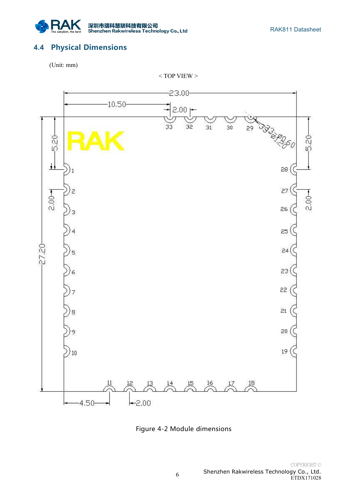

#### <span id="page-7-0"></span>**4.4 Physical Dimensions**

(Unit: mm)

 $<$  TOP VIEW  $>$ 



Figure 4-2 Module dimensions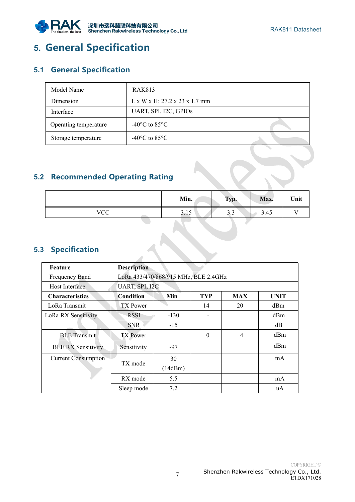

# <span id="page-8-1"></span><span id="page-8-0"></span>**5. General Specification**

#### **5.1 General Specification**

| Model Name            | <b>RAK813</b>                                            |  |
|-----------------------|----------------------------------------------------------|--|
| Dimension             | $L \times W \times H$ : 27.2 $\times$ 23 $\times$ 1.7 mm |  |
| Interface             | UART, SPI, I2C, GPIOs                                    |  |
| Operating temperature | $-40^{\circ}$ C to 85 $^{\circ}$ C                       |  |
| Storage temperature   | $-40^{\circ}$ C to 85 $^{\circ}$ C                       |  |

#### **5.2 Recommended Operating Rating**

|               | Min.                   | $T_{\rm VM}$<br>y p.<br>$\sim$ | Max. | Unit          |
|---------------|------------------------|--------------------------------|------|---------------|
| VCC<br>$\sim$ | 1 <sub>c</sub><br>3.1J | $\sim$ $\sim$<br><u>.</u>      | 3.45 | $\sim$ $\sim$ |

#### **5.3 Specification**

| Feature                    | <b>Description</b>                   |         |                |                |             |  |
|----------------------------|--------------------------------------|---------|----------------|----------------|-------------|--|
| Frequency Band             | LoRa 433/470/868/915 MHz, BLE 2.4GHz |         |                |                |             |  |
| Host Interface             | UART, SPI, I2C                       |         |                |                |             |  |
| <b>Characteristics</b>     | <b>Condition</b>                     | Min     | <b>TYP</b>     | <b>MAX</b>     | <b>UNIT</b> |  |
| LoRa Transmit              | <b>TX</b> Power                      |         | 14             | 20             | dBm         |  |
| LoRa RX Sensitivity        | <b>RSSI</b>                          | $-130$  | $\blacksquare$ |                | dBm         |  |
|                            | <b>SNR</b>                           | $-15$   |                |                | dB          |  |
| <b>BLE</b> Transmit        | TX Power                             |         | $\Omega$       | $\overline{4}$ | dBm         |  |
| <b>BLE RX Sensitivity</b>  | Sensitivity                          | $-97$   |                |                | dBm         |  |
| <b>Current Consumption</b> |                                      | 30      |                |                | mA          |  |
|                            | TX mode                              | (14dBm) |                |                |             |  |
|                            | RX mode                              | 5.5     |                |                | mA          |  |
|                            | Sleep mode                           | 7.2     |                |                | uA          |  |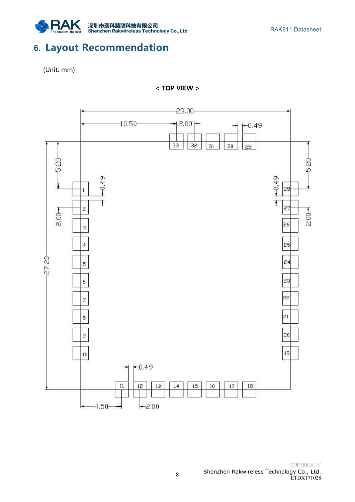

## <span id="page-9-0"></span>**6. Layout Recommendation**

(Unit: mm)

**< TOP VIEW >**

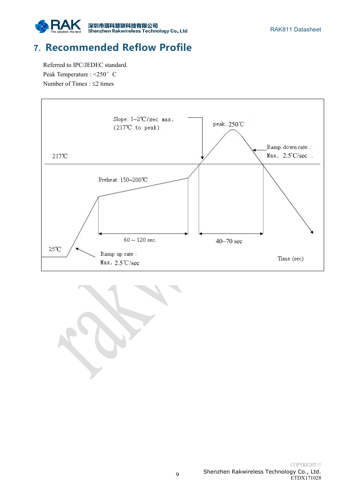

# <span id="page-10-0"></span>**7. Recommended Reflow Profile**

Referred to IPC/JEDEC standard. Peak Temperature : <250° C Number of Times :  $\leq$  2 times



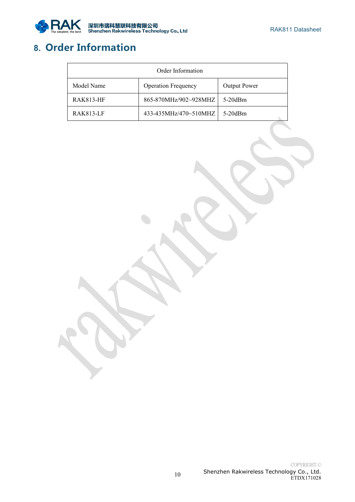

# <span id="page-11-0"></span>**8. Order Information**

| Order Information |                            |                     |  |  |  |
|-------------------|----------------------------|---------------------|--|--|--|
| Model Name        | <b>Operation Frequency</b> | <b>Output Power</b> |  |  |  |
| <b>RAK813-HF</b>  | 865-870MHz/902~928MHZ      | $5-20$ dBm          |  |  |  |
| <b>RAK813-LF</b>  | 433-435MHz/470~510MHZ      | $5-20$ dBm          |  |  |  |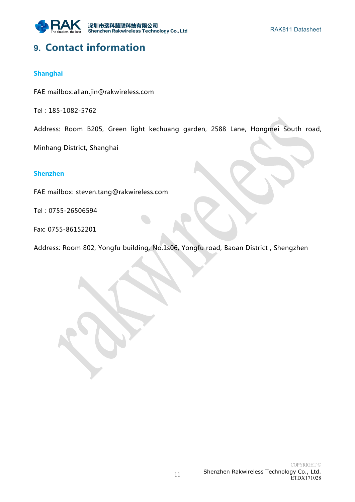

## <span id="page-12-0"></span>**9. Contact information**

#### **Shanghai**

FAE mailbox:[allan.jin@rakwireless.com](mailto:lee.zhang@lthonway.com)

Tel : 185-1082-5762

Address: Room B205, Green light kechuang garden, 2588 Lane, Hongmei South road,

Minhang District, Shanghai

#### **Shenzhen**

FAE mailbox: [steven.tang@rakwireless.com](mailto:lee.zhang@lthonway.com)

Tel : 0755-26506594

Fax: 0755-86152201

Address: Room 802, Yongfu building, No.1s06, Yongfu road, Baoan District , Shengzhen